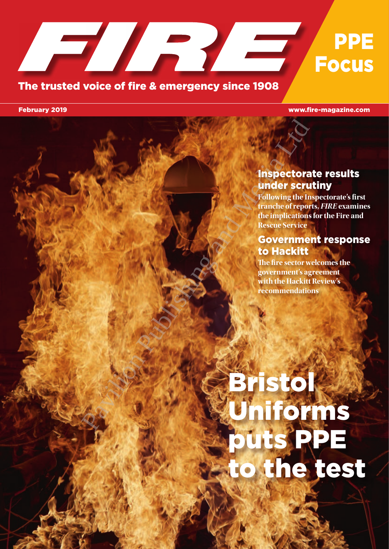### T RYS PPE **Focus**

#### The trusted voice of fire & emergency since 1908

February 2019 www.fire-magazine.com

#### Inspectorate results under scrutiny

**Following the Inspectorate's first tranche of reports,** *FIRE* **examines the implications for the Fire and Rescue Service**

#### Government response to Hackitt

**The fire sector welcomes the government's agreement with the Hackitt Review's recommendations**

# Bristol Uniforms puts PPE to the test Pavilion Publishing the Control of the Control of the Control of the Control of the Control of the Control of the Control of the Control of the Control of the Control of the Control of the Control of the Control of the Con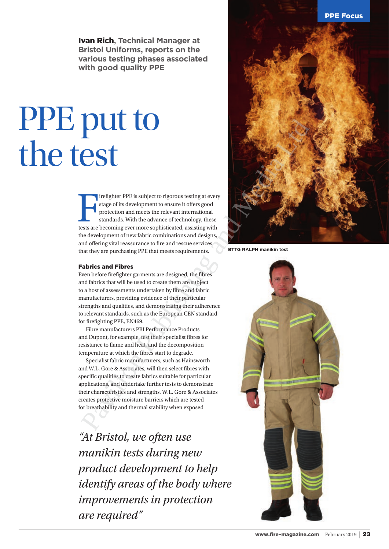PPE Focus

Ivan Rich**, Technical Manager at Bristol Uniforms, reports on the various testing phases associated with good quality PPE**

## PPE put to the test

I irefighter PPE is subject to rigorous testing at every stage of its development to ensure it offers good protection and meets the relevant international standards. With the advance of technology, these tests are becoming irefighter PPE is subject to rigorous testing at every stage of its development to ensure it offers good protection and meets the relevant international standards. With the advance of technology, these the development of new fabric combinations and designs, and offering vital reassurance to fire and rescue services that they are purchasing PPE that meets requirements.

#### Fabrics and Fibres

Even before firefighter garments are designed, the fibres and fabrics that will be used to create them are subject to a host of assessments undertaken by fibre and fabric manufacturers, providing evidence of their particular strengths and qualities, and demonstrating their adherence to relevant standards, such as the European CEN standard for firefighting PPE, EN469.

Fibre manufacturers PBI Performance Products and Dupont, for example, test their specialist fibres for resistance to flame and heat, and the decomposition temperature at which the fibres start to degrade.

Specialist fabric manufacturers, such as Hainsworth and W.L. Gore & Associates, will then select fibres with specific qualities to create fabrics suitable for particular applications, and undertake further tests to demonstrate their characteristics and strengths. W.L. Gore & Associates creates protective moisture barriers which are tested for breathability and thermal stability when exposed

*"At Bristol, we often use manikin tests during new product development to help identify areas of the body where improvements in protection are required"*



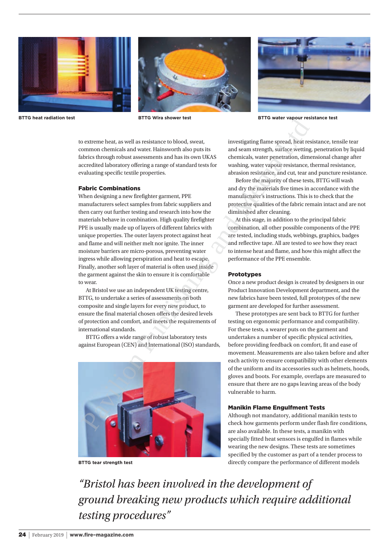





**BTTG heat radiation test BTTG Wira shower test BTTG water vapour resistance test**

to extreme heat, as well as resistance to blood, sweat, common chemicals and water. Hainsworth also puts its fabrics through robust assessments and has its own UKAS accredited laboratory offering a range of standard tests for evaluating specific textile properties.

#### Fabric Combinations

When designing a new firefighter garment, PPE manufacturers select samples from fabric suppliers and then carry out further testing and research into how the materials behave in combination. High quality firefighter PPE is usually made up of layers of different fabrics with unique properties. The outer layers protect against heat and flame and will neither melt nor ignite. The inner moisture barriers are micro-porous, preventing water ingress while allowing perspiration and heat to escape. Finally, another soft layer of material is often used inside the garment against the skin to ensure it is comfortable to wear. Partis what shows read to the constrained in the weat vaporation of entergy to extreme herein, the constrained and water. Hainswere Health and seems step and streamed and weat the particular constrained and the particular

At Bristol we use an independent UK testing centre, BTTG, to undertake a series of assessments on both composite and single layers for every new product, to ensure the final material chosen offers the desired levels of protection and comfort, and meets the requirements of international standards.

BTTG offers a wide range of robust laboratory tests against European (CEN) and International (ISO) standards,



**BTTG tear strength test**

investigating flame spread, heat resistance, tensile tear and seam strength, surface wetting, penetration by liquid chemicals, water penetration, dimensional change after washing, water vapour resistance, thermal resistance, abrasion resistance, and cut, tear and puncture resistance.

Before the majority of these tests, BTTG will wash and dry the materials five times in accordance with the manufacturer's instructions. This is to check that the protective qualities of the fabric remain intact and are not diminished after cleaning.

At this stage, in addition to the principal fabric combination, all other possible components of the PPE are tested, including studs, webbings, graphics, badges and reflective tape. All are tested to see how they react to intense heat and flame, and how this might affect the performance of the PPE ensemble.

#### Prototypes

Once a new product design is created by designers in our Product Innovation Development department, and the new fabrics have been tested, full prototypes of the new garment are developed for further assessment.

These prototypes are sent back to BTTG for further testing on ergonomic performance and compatibility. For these tests, a wearer puts on the garment and undertakes a number of specific physical activities, before providing feedback on comfort, fit and ease of movement. Measurements are also taken before and after each activity to ensure compatibility with other elements of the uniform and its accessories such as helmets, hoods, gloves and boots. For example, overlaps are measured to ensure that there are no gaps leaving areas of the body vulnerable to harm.

#### Manikin Flame Engulfment Tests

Although not mandatory, additional manikin tests to check how garments perform under flash fire conditions, are also available. In these tests, a manikin with specially fitted heat sensors is engulfed in flames while wearing the new designs. These tests are sometimes specified by the customer as part of a tender process to directly compare the performance of different models

*"Bristol has been involved in the development of ground breaking new products which require additional testing procedures"*